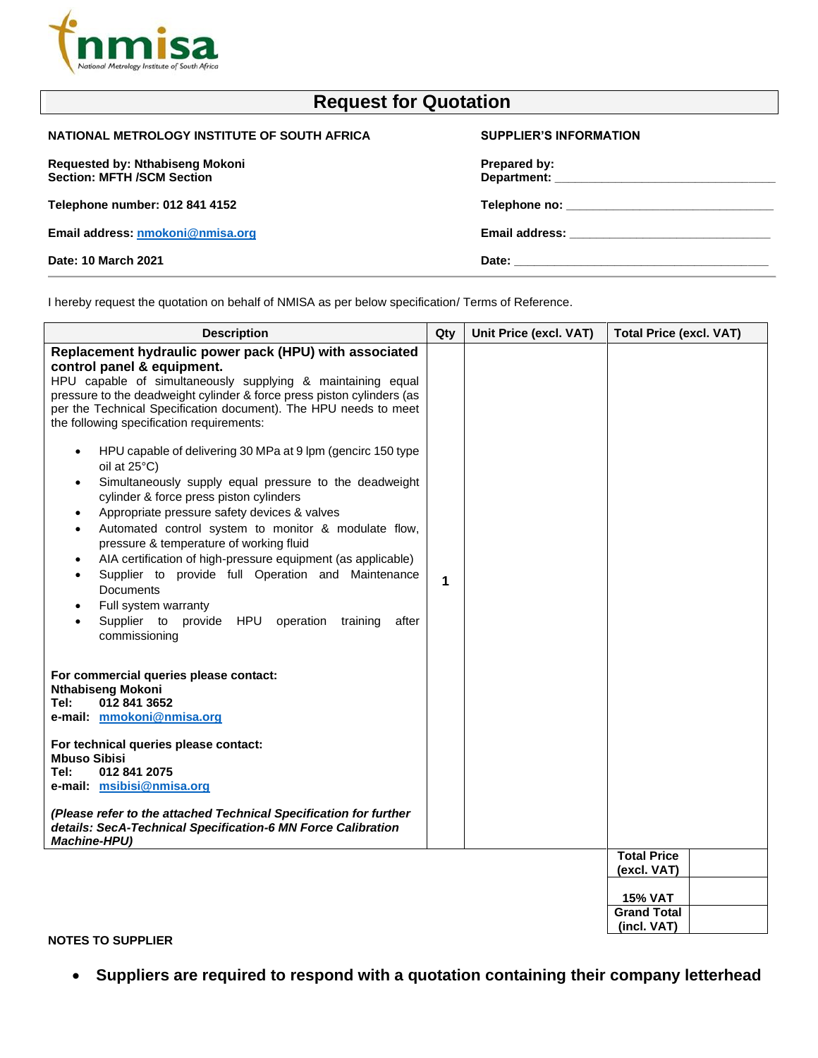

| <b>Request for Quotation</b>                                         |                               |  |
|----------------------------------------------------------------------|-------------------------------|--|
| NATIONAL METROLOGY INSTITUTE OF SOUTH AFRICA                         | <b>SUPPLIER'S INFORMATION</b> |  |
| Requested by: Nthabiseng Mokoni<br><b>Section: MFTH /SCM Section</b> | Prepared by:                  |  |
| Telephone number: 012 841 4152                                       |                               |  |
| Email address: nmokoni@nmisa.org                                     |                               |  |
| Date: 10 March 2021                                                  |                               |  |
|                                                                      |                               |  |

I hereby request the quotation on behalf of NMISA as per below specification/ Terms of Reference.

| <b>Description</b>                                                                                                                                                                                                                                                                                                                                                                                                                                                                                                                                                                                                                                        | Qty | Unit Price (excl. VAT) | <b>Total Price (excl. VAT)</b>    |
|-----------------------------------------------------------------------------------------------------------------------------------------------------------------------------------------------------------------------------------------------------------------------------------------------------------------------------------------------------------------------------------------------------------------------------------------------------------------------------------------------------------------------------------------------------------------------------------------------------------------------------------------------------------|-----|------------------------|-----------------------------------|
| Replacement hydraulic power pack (HPU) with associated<br>control panel & equipment.<br>HPU capable of simultaneously supplying & maintaining equal<br>pressure to the deadweight cylinder & force press piston cylinders (as<br>per the Technical Specification document). The HPU needs to meet<br>the following specification requirements:                                                                                                                                                                                                                                                                                                            |     |                        |                                   |
| HPU capable of delivering 30 MPa at 9 lpm (gencirc 150 type<br>$\bullet$<br>oil at $25^{\circ}$ C)<br>Simultaneously supply equal pressure to the deadweight<br>٠<br>cylinder & force press piston cylinders<br>Appropriate pressure safety devices & valves<br>$\bullet$<br>Automated control system to monitor & modulate flow,<br>$\bullet$<br>pressure & temperature of working fluid<br>AIA certification of high-pressure equipment (as applicable)<br>$\bullet$<br>Supplier to provide full Operation and Maintenance<br>$\bullet$<br>Documents<br>Full system warranty<br>Supplier to provide HPU operation<br>training<br>after<br>commissioning | 1   |                        |                                   |
| For commercial queries please contact:<br><b>Nthabiseng Mokoni</b><br>012 841 3652<br>Tel:<br>e-mail: mmokoni@nmisa.org                                                                                                                                                                                                                                                                                                                                                                                                                                                                                                                                   |     |                        |                                   |
| For technical queries please contact:<br><b>Mbuso Sibisi</b><br>012 841 2075<br>Tel:<br>e-mail: msibisi@nmisa.org                                                                                                                                                                                                                                                                                                                                                                                                                                                                                                                                         |     |                        |                                   |
| (Please refer to the attached Technical Specification for further<br>details: SecA-Technical Specification-6 MN Force Calibration<br><b>Machine-HPU)</b>                                                                                                                                                                                                                                                                                                                                                                                                                                                                                                  |     |                        |                                   |
|                                                                                                                                                                                                                                                                                                                                                                                                                                                                                                                                                                                                                                                           |     |                        | <b>Total Price</b><br>(excl. VAT) |
|                                                                                                                                                                                                                                                                                                                                                                                                                                                                                                                                                                                                                                                           |     |                        | <b>15% VAT</b>                    |
|                                                                                                                                                                                                                                                                                                                                                                                                                                                                                                                                                                                                                                                           |     |                        | <b>Grand Total</b><br>(incl. VAT) |

## **NOTES TO SUPPLIER**

• **Suppliers are required to respond with a quotation containing their company letterhead**